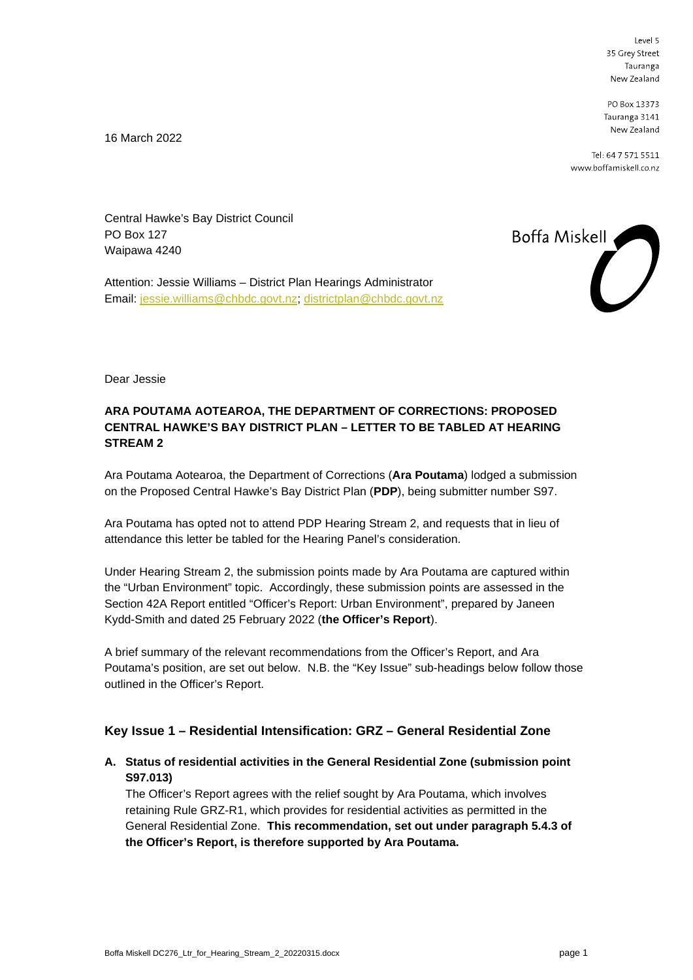Level 5 35 Grey Street Tauranga New Zealand

PO Box 13373 Tauranga 3141 New Zealand

Tel: 64 7 571 5511 www.boffamiskell.co.nz

16 March 2022

Central Hawke's Bay District Council PO Box 127 Waipawa 4240

Attention: Jessie Williams – District Plan Hearings Administrator Email: [jessie.williams@chbdc.govt.nz;](mailto:jessie.williams@chbdc.govt.nz) [districtplan@chbdc.govt.nz](mailto:districtplan@chbdc.govt.nz)



Dear Jessie

# **ARA POUTAMA AOTEAROA, THE DEPARTMENT OF CORRECTIONS: PROPOSED CENTRAL HAWKE'S BAY DISTRICT PLAN – LETTER TO BE TABLED AT HEARING STREAM 2**

Ara Poutama Aotearoa, the Department of Corrections (**Ara Poutama**) lodged a submission on the Proposed Central Hawke's Bay District Plan (**PDP**), being submitter number S97.

Ara Poutama has opted not to attend PDP Hearing Stream 2, and requests that in lieu of attendance this letter be tabled for the Hearing Panel's consideration.

Under Hearing Stream 2, the submission points made by Ara Poutama are captured within the "Urban Environment" topic. Accordingly, these submission points are assessed in the Section 42A Report entitled "Officer's Report: Urban Environment", prepared by Janeen Kydd-Smith and dated 25 February 2022 (**the Officer's Report**).

A brief summary of the relevant recommendations from the Officer's Report, and Ara Poutama's position, are set out below. N.B. the "Key Issue" sub-headings below follow those outlined in the Officer's Report.

## **Key Issue 1 – Residential Intensification: GRZ – General Residential Zone**

**A. Status of residential activities in the General Residential Zone (submission point S97.013)**

The Officer's Report agrees with the relief sought by Ara Poutama, which involves retaining Rule GRZ-R1, which provides for residential activities as permitted in the General Residential Zone. **This recommendation, set out under paragraph 5.4.3 of the Officer's Report, is therefore supported by Ara Poutama.**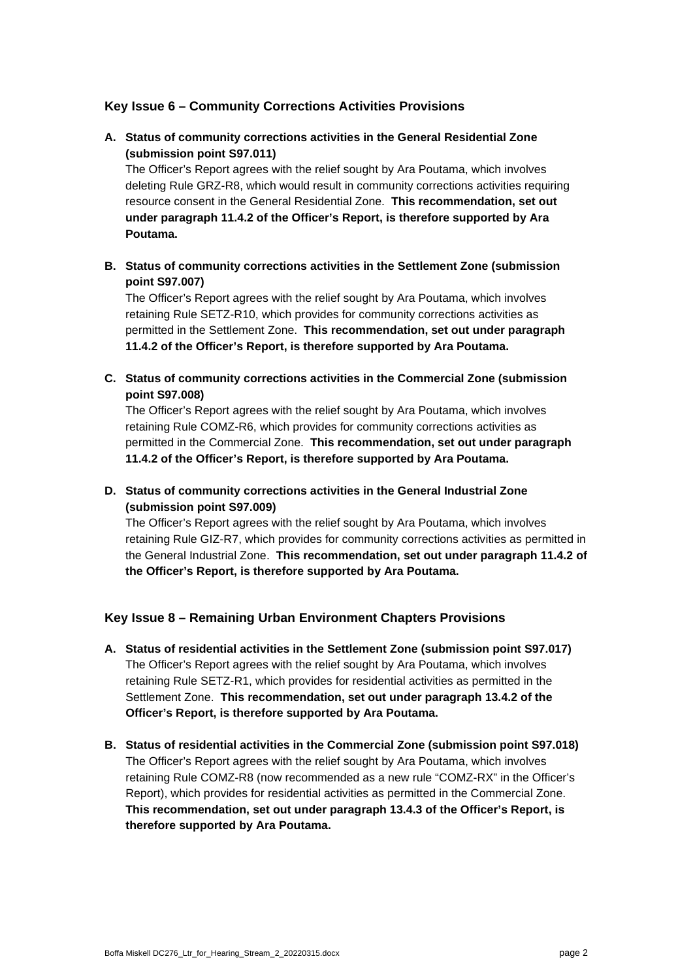# **Key Issue 6 – Community Corrections Activities Provisions**

# **A. Status of community corrections activities in the General Residential Zone (submission point S97.011)**

The Officer's Report agrees with the relief sought by Ara Poutama, which involves deleting Rule GRZ-R8, which would result in community corrections activities requiring resource consent in the General Residential Zone. **This recommendation, set out under paragraph 11.4.2 of the Officer's Report, is therefore supported by Ara Poutama.**

### **B. Status of community corrections activities in the Settlement Zone (submission point S97.007)**

The Officer's Report agrees with the relief sought by Ara Poutama, which involves retaining Rule SETZ-R10, which provides for community corrections activities as permitted in the Settlement Zone. **This recommendation, set out under paragraph 11.4.2 of the Officer's Report, is therefore supported by Ara Poutama.**

**C. Status of community corrections activities in the Commercial Zone (submission point S97.008)**

The Officer's Report agrees with the relief sought by Ara Poutama, which involves retaining Rule COMZ-R6, which provides for community corrections activities as permitted in the Commercial Zone. **This recommendation, set out under paragraph 11.4.2 of the Officer's Report, is therefore supported by Ara Poutama.**

**D. Status of community corrections activities in the General Industrial Zone (submission point S97.009)**

The Officer's Report agrees with the relief sought by Ara Poutama, which involves retaining Rule GIZ-R7, which provides for community corrections activities as permitted in the General Industrial Zone. **This recommendation, set out under paragraph 11.4.2 of the Officer's Report, is therefore supported by Ara Poutama.**

## **Key Issue 8 – Remaining Urban Environment Chapters Provisions**

- **A. Status of residential activities in the Settlement Zone (submission point S97.017)** The Officer's Report agrees with the relief sought by Ara Poutama, which involves retaining Rule SETZ-R1, which provides for residential activities as permitted in the Settlement Zone. **This recommendation, set out under paragraph 13.4.2 of the Officer's Report, is therefore supported by Ara Poutama.**
- **B. Status of residential activities in the Commercial Zone (submission point S97.018)** The Officer's Report agrees with the relief sought by Ara Poutama, which involves retaining Rule COMZ-R8 (now recommended as a new rule "COMZ-RX" in the Officer's Report), which provides for residential activities as permitted in the Commercial Zone. **This recommendation, set out under paragraph 13.4.3 of the Officer's Report, is therefore supported by Ara Poutama.**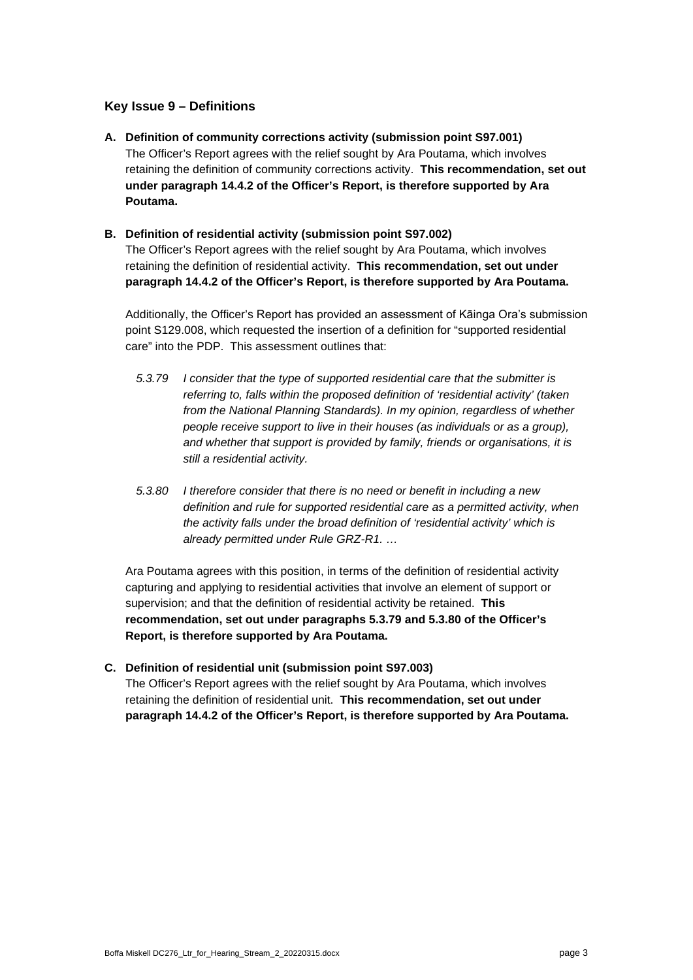## **Key Issue 9 – Definitions**

**A. Definition of community corrections activity (submission point S97.001)** The Officer's Report agrees with the relief sought by Ara Poutama, which involves retaining the definition of community corrections activity. **This recommendation, set out under paragraph 14.4.2 of the Officer's Report, is therefore supported by Ara Poutama.**

#### **B. Definition of residential activity (submission point S97.002)**

The Officer's Report agrees with the relief sought by Ara Poutama, which involves retaining the definition of residential activity. **This recommendation, set out under paragraph 14.4.2 of the Officer's Report, is therefore supported by Ara Poutama.**

Additionally, the Officer's Report has provided an assessment of Kāinga Ora's submission point S129.008, which requested the insertion of a definition for "supported residential care" into the PDP. This assessment outlines that:

- *5.3.79 I consider that the type of supported residential care that the submitter is referring to, falls within the proposed definition of 'residential activity' (taken from the National Planning Standards). In my opinion, regardless of whether people receive support to live in their houses (as individuals or as a group), and whether that support is provided by family, friends or organisations, it is still a residential activity.*
- *5.3.80 I therefore consider that there is no need or benefit in including a new definition and rule for supported residential care as a permitted activity, when the activity falls under the broad definition of 'residential activity' which is already permitted under Rule GRZ-R1. …*

Ara Poutama agrees with this position, in terms of the definition of residential activity capturing and applying to residential activities that involve an element of support or supervision; and that the definition of residential activity be retained. **This recommendation, set out under paragraphs 5.3.79 and 5.3.80 of the Officer's Report, is therefore supported by Ara Poutama.**

**C. Definition of residential unit (submission point S97.003)** The Officer's Report agrees with the relief sought by Ara Poutama, which involves retaining the definition of residential unit. **This recommendation, set out under paragraph 14.4.2 of the Officer's Report, is therefore supported by Ara Poutama.**